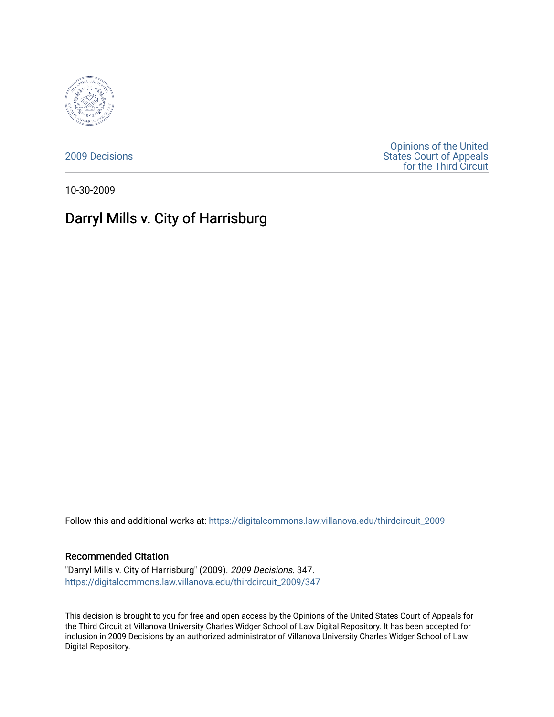

[2009 Decisions](https://digitalcommons.law.villanova.edu/thirdcircuit_2009)

[Opinions of the United](https://digitalcommons.law.villanova.edu/thirdcircuit)  [States Court of Appeals](https://digitalcommons.law.villanova.edu/thirdcircuit)  [for the Third Circuit](https://digitalcommons.law.villanova.edu/thirdcircuit) 

10-30-2009

# Darryl Mills v. City of Harrisburg

Follow this and additional works at: [https://digitalcommons.law.villanova.edu/thirdcircuit\\_2009](https://digitalcommons.law.villanova.edu/thirdcircuit_2009?utm_source=digitalcommons.law.villanova.edu%2Fthirdcircuit_2009%2F347&utm_medium=PDF&utm_campaign=PDFCoverPages) 

# Recommended Citation

"Darryl Mills v. City of Harrisburg" (2009). 2009 Decisions. 347. [https://digitalcommons.law.villanova.edu/thirdcircuit\\_2009/347](https://digitalcommons.law.villanova.edu/thirdcircuit_2009/347?utm_source=digitalcommons.law.villanova.edu%2Fthirdcircuit_2009%2F347&utm_medium=PDF&utm_campaign=PDFCoverPages)

This decision is brought to you for free and open access by the Opinions of the United States Court of Appeals for the Third Circuit at Villanova University Charles Widger School of Law Digital Repository. It has been accepted for inclusion in 2009 Decisions by an authorized administrator of Villanova University Charles Widger School of Law Digital Repository.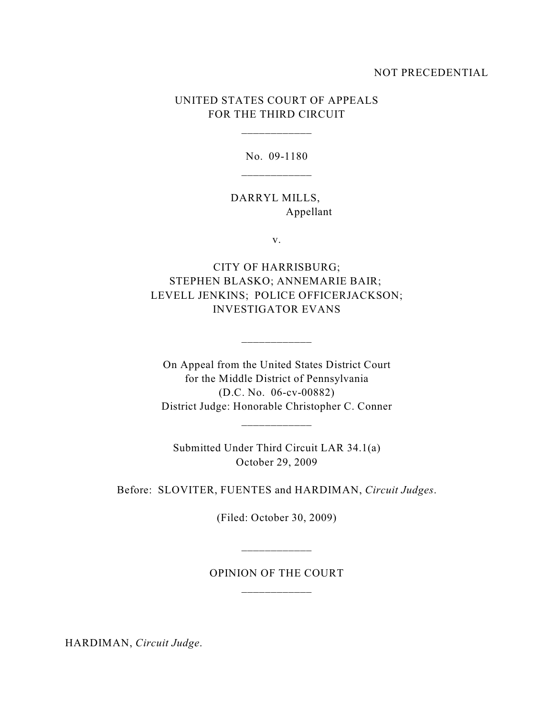# NOT PRECEDENTIAL

# UNITED STATES COURT OF APPEALS FOR THE THIRD CIRCUIT

\_\_\_\_\_\_\_\_\_\_\_\_

No. 09-1180

DARRYL MILLS, Appellant

v.

CITY OF HARRISBURG; STEPHEN BLASKO; ANNEMARIE BAIR; LEVELL JENKINS; POLICE OFFICERJACKSON; INVESTIGATOR EVANS

 $\mathcal{L}_\text{max}$ 

On Appeal from the United States District Court for the Middle District of Pennsylvania (D.C. No. 06-cv-00882) District Judge: Honorable Christopher C. Conner

Submitted Under Third Circuit LAR 34.1(a) October 29, 2009

\_\_\_\_\_\_\_\_\_\_\_\_

Before: SLOVITER, FUENTES and HARDIMAN, *Circuit Judges*.

(Filed: October 30, 2009)

OPINION OF THE COURT \_\_\_\_\_\_\_\_\_\_\_\_

\_\_\_\_\_\_\_\_\_\_\_\_

HARDIMAN, *Circuit Judge*.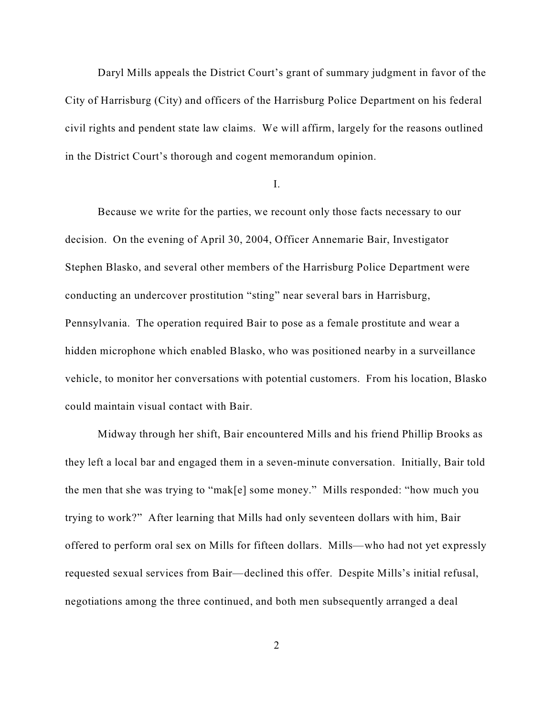Daryl Mills appeals the District Court's grant of summary judgment in favor of the City of Harrisburg (City) and officers of the Harrisburg Police Department on his federal civil rights and pendent state law claims. We will affirm, largely for the reasons outlined in the District Court's thorough and cogent memorandum opinion.

I.

Because we write for the parties, we recount only those facts necessary to our decision. On the evening of April 30, 2004, Officer Annemarie Bair, Investigator Stephen Blasko, and several other members of the Harrisburg Police Department were conducting an undercover prostitution "sting" near several bars in Harrisburg, Pennsylvania. The operation required Bair to pose as a female prostitute and wear a hidden microphone which enabled Blasko, who was positioned nearby in a surveillance vehicle, to monitor her conversations with potential customers. From his location, Blasko could maintain visual contact with Bair.

Midway through her shift, Bair encountered Mills and his friend Phillip Brooks as they left a local bar and engaged them in a seven-minute conversation. Initially, Bair told the men that she was trying to "mak[e] some money." Mills responded: "how much you trying to work?" After learning that Mills had only seventeen dollars with him, Bair offered to perform oral sex on Mills for fifteen dollars. Mills—who had not yet expressly requested sexual services from Bair—declined this offer. Despite Mills's initial refusal, negotiations among the three continued, and both men subsequently arranged a deal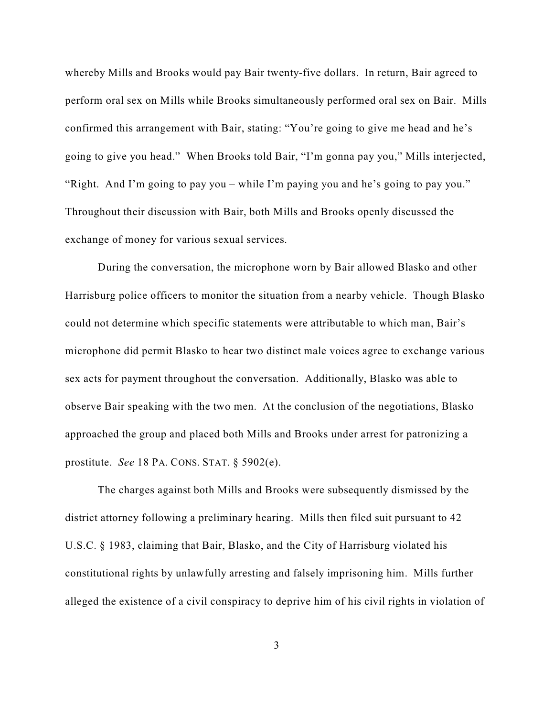whereby Mills and Brooks would pay Bair twenty-five dollars. In return, Bair agreed to perform oral sex on Mills while Brooks simultaneously performed oral sex on Bair. Mills confirmed this arrangement with Bair, stating: "You're going to give me head and he's going to give you head." When Brooks told Bair, "I'm gonna pay you," Mills interjected, "Right. And I'm going to pay you – while I'm paying you and he's going to pay you." Throughout their discussion with Bair, both Mills and Brooks openly discussed the exchange of money for various sexual services.

During the conversation, the microphone worn by Bair allowed Blasko and other Harrisburg police officers to monitor the situation from a nearby vehicle. Though Blasko could not determine which specific statements were attributable to which man, Bair's microphone did permit Blasko to hear two distinct male voices agree to exchange various sex acts for payment throughout the conversation. Additionally, Blasko was able to observe Bair speaking with the two men. At the conclusion of the negotiations, Blasko approached the group and placed both Mills and Brooks under arrest for patronizing a prostitute. *See* 18 PA. CONS. STAT. § 5902(e).

The charges against both Mills and Brooks were subsequently dismissed by the district attorney following a preliminary hearing. Mills then filed suit pursuant to 42 U.S.C. § 1983, claiming that Bair, Blasko, and the City of Harrisburg violated his constitutional rights by unlawfully arresting and falsely imprisoning him. Mills further alleged the existence of a civil conspiracy to deprive him of his civil rights in violation of

3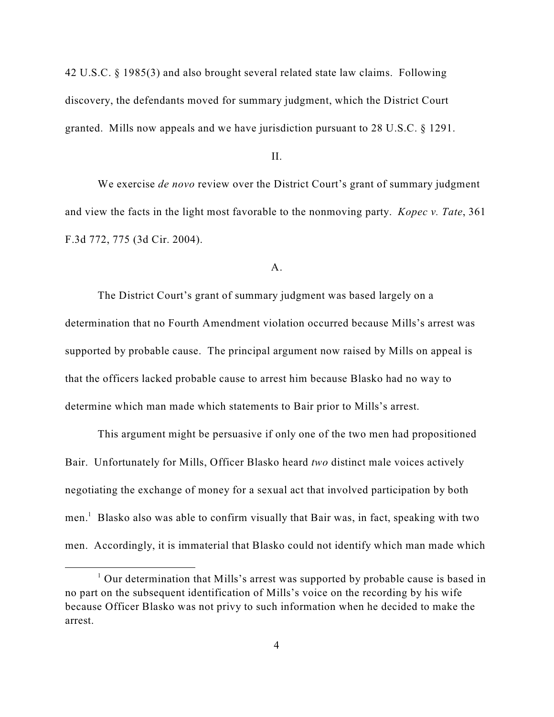42 U.S.C. § 1985(3) and also brought several related state law claims. Following discovery, the defendants moved for summary judgment, which the District Court granted. Mills now appeals and we have jurisdiction pursuant to 28 U.S.C. § 1291.

## II.

We exercise *de novo* review over the District Court's grant of summary judgment and view the facts in the light most favorable to the nonmoving party. *Kopec v. Tate*, 361 F.3d 772, 775 (3d Cir. 2004).

#### A.

The District Court's grant of summary judgment was based largely on a determination that no Fourth Amendment violation occurred because Mills's arrest was supported by probable cause. The principal argument now raised by Mills on appeal is that the officers lacked probable cause to arrest him because Blasko had no way to determine which man made which statements to Bair prior to Mills's arrest.

This argument might be persuasive if only one of the two men had propositioned Bair. Unfortunately for Mills, Officer Blasko heard *two* distinct male voices actively negotiating the exchange of money for a sexual act that involved participation by both men.<sup>1</sup> Blasko also was able to confirm visually that Bair was, in fact, speaking with two men. Accordingly, it is immaterial that Blasko could not identify which man made which

 $\frac{1}{2}$  Our determination that Mills's arrest was supported by probable cause is based in no part on the subsequent identification of Mills's voice on the recording by his wife because Officer Blasko was not privy to such information when he decided to make the arrest.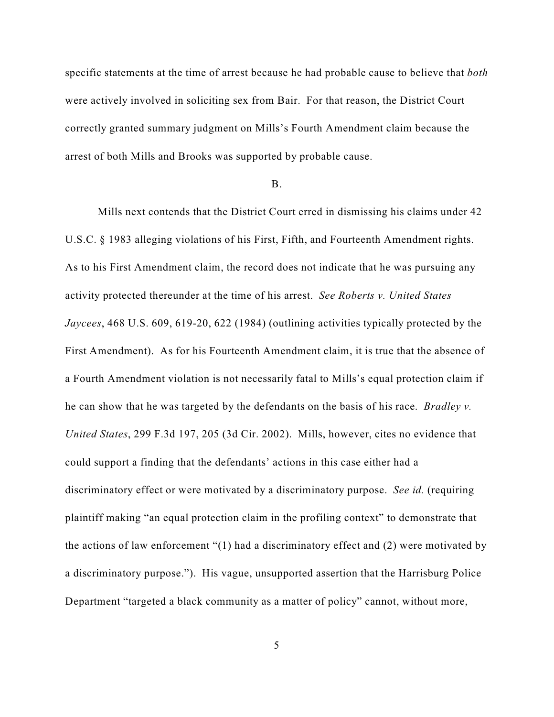specific statements at the time of arrest because he had probable cause to believe that *both* were actively involved in soliciting sex from Bair. For that reason, the District Court correctly granted summary judgment on Mills's Fourth Amendment claim because the arrest of both Mills and Brooks was supported by probable cause.

## B.

Mills next contends that the District Court erred in dismissing his claims under 42 U.S.C. § 1983 alleging violations of his First, Fifth, and Fourteenth Amendment rights. As to his First Amendment claim, the record does not indicate that he was pursuing any activity protected thereunder at the time of his arrest. *See Roberts v. United States Jaycees*, 468 U.S. 609, 619-20, 622 (1984) (outlining activities typically protected by the First Amendment). As for his Fourteenth Amendment claim, it is true that the absence of a Fourth Amendment violation is not necessarily fatal to Mills's equal protection claim if he can show that he was targeted by the defendants on the basis of his race. *Bradley v. United States*, 299 F.3d 197, 205 (3d Cir. 2002). Mills, however, cites no evidence that could support a finding that the defendants' actions in this case either had a discriminatory effect or were motivated by a discriminatory purpose. *See id.* (requiring plaintiff making "an equal protection claim in the profiling context" to demonstrate that the actions of law enforcement "(1) had a discriminatory effect and (2) were motivated by a discriminatory purpose."). His vague, unsupported assertion that the Harrisburg Police Department "targeted a black community as a matter of policy" cannot, without more,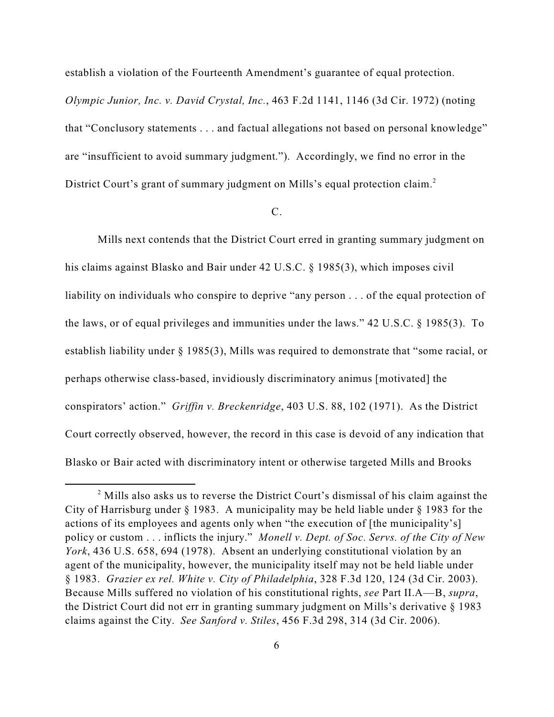establish a violation of the Fourteenth Amendment's guarantee of equal protection.

*Olympic Junior, Inc. v. David Crystal, Inc.*, 463 F.2d 1141, 1146 (3d Cir. 1972) (noting that "Conclusory statements . . . and factual allegations not based on personal knowledge" are "insufficient to avoid summary judgment."). Accordingly, we find no error in the District Court's grant of summary judgment on Mills's equal protection claim.<sup>2</sup>

## C.

Mills next contends that the District Court erred in granting summary judgment on his claims against Blasko and Bair under 42 U.S.C. § 1985(3), which imposes civil liability on individuals who conspire to deprive "any person . . . of the equal protection of the laws, or of equal privileges and immunities under the laws." 42 U.S.C. § 1985(3). To establish liability under § 1985(3), Mills was required to demonstrate that "some racial, or perhaps otherwise class-based, invidiously discriminatory animus [motivated] the conspirators' action." *Griffin v. Breckenridge*, 403 U.S. 88, 102 (1971). As the District Court correctly observed, however, the record in this case is devoid of any indication that Blasko or Bair acted with discriminatory intent or otherwise targeted Mills and Brooks

 $2$  Mills also asks us to reverse the District Court's dismissal of his claim against the City of Harrisburg under § 1983. A municipality may be held liable under § 1983 for the actions of its employees and agents only when "the execution of [the municipality's] policy or custom . . . inflicts the injury." *Monell v. Dept. of Soc. Servs. of the City of New York*, 436 U.S. 658, 694 (1978). Absent an underlying constitutional violation by an agent of the municipality, however, the municipality itself may not be held liable under § 1983. *Grazier ex rel. White v. City of Philadelphia*, 328 F.3d 120, 124 (3d Cir. 2003). Because Mills suffered no violation of his constitutional rights, *see* Part II.A—B, *supra*, the District Court did not err in granting summary judgment on Mills's derivative § 1983 claims against the City. *See Sanford v. Stiles*, 456 F.3d 298, 314 (3d Cir. 2006).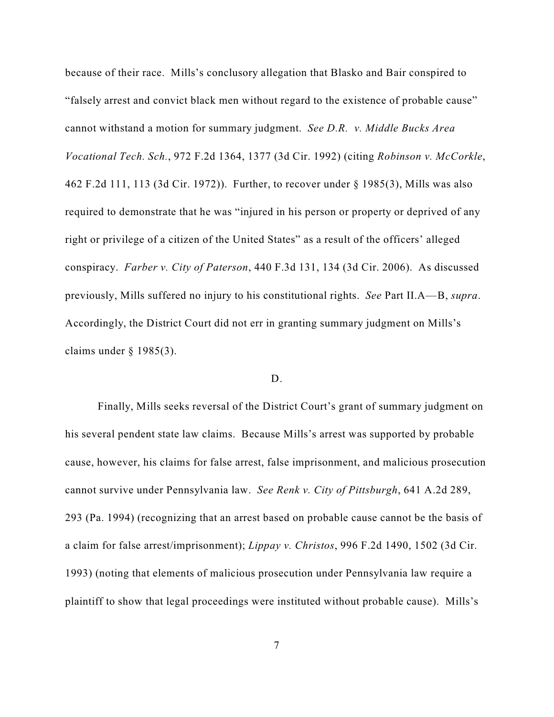because of their race. Mills's conclusory allegation that Blasko and Bair conspired to "falsely arrest and convict black men without regard to the existence of probable cause" cannot withstand a motion for summary judgment. *See D.R. v. Middle Bucks Area Vocational Tech. Sch.*, 972 F.2d 1364, 1377 (3d Cir. 1992) (citing *Robinson v. McCorkle*, 462 F.2d 111, 113 (3d Cir. 1972)). Further, to recover under § 1985(3), Mills was also required to demonstrate that he was "injured in his person or property or deprived of any right or privilege of a citizen of the United States" as a result of the officers' alleged conspiracy. *Farber v. City of Paterson*, 440 F.3d 131, 134 (3d Cir. 2006). As discussed previously, Mills suffered no injury to his constitutional rights. *See* Part II.A—B, *supra*. Accordingly, the District Court did not err in granting summary judgment on Mills's claims under  $\S$  1985(3).

# D.

Finally, Mills seeks reversal of the District Court's grant of summary judgment on his several pendent state law claims. Because Mills's arrest was supported by probable cause, however, his claims for false arrest, false imprisonment, and malicious prosecution cannot survive under Pennsylvania law. *See Renk v. City of Pittsburgh*, 641 A.2d 289, 293 (Pa. 1994) (recognizing that an arrest based on probable cause cannot be the basis of a claim for false arrest/imprisonment); *Lippay v. Christos*, 996 F.2d 1490, 1502 (3d Cir. 1993) (noting that elements of malicious prosecution under Pennsylvania law require a plaintiff to show that legal proceedings were instituted without probable cause). Mills's